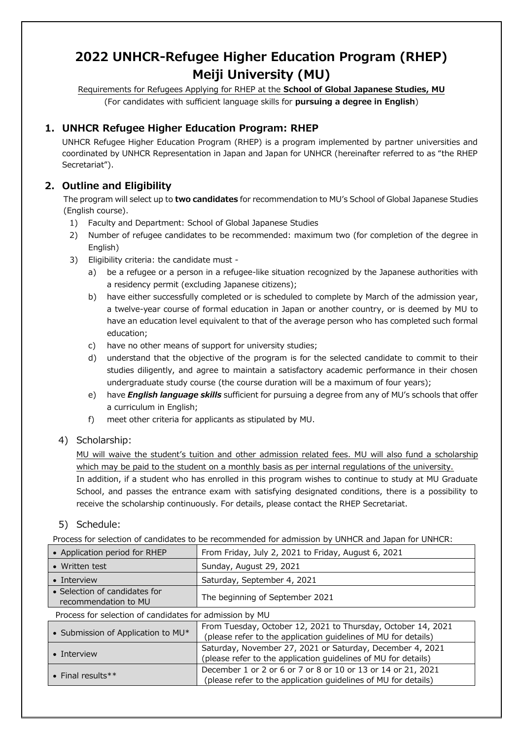# **2022 UNHCR-Refugee Higher Education Program (RHEP) Meiji University (MU)**

Requirements for Refugees Applying for RHEP at the **School of Global Japanese Studies, MU**

(For candidates with sufficient language skills for **pursuing a degree in English**)

# **1. UNHCR Refugee Higher Education Program: RHEP**

UNHCR Refugee Higher Education Program (RHEP) is a program implemented by partner universities and coordinated by UNHCR Representation in Japan and Japan for UNHCR (hereinafter referred to as "the RHEP Secretariat").

# **2. Outline and Eligibility**

The program will select up to **two candidates** for recommendation to MU's School of Global Japanese Studies (English course).

- 1) Faculty and Department: School of Global Japanese Studies
- 2) Number of refugee candidates to be recommended: maximum two (for completion of the degree in English)
- 3) Eligibility criteria: the candidate must
	- a) be a refugee or a person in a refugee-like situation recognized by the Japanese authorities with a residency permit (excluding Japanese citizens);
	- b) have either successfully completed or is scheduled to complete by March of the admission year, a twelve-year course of formal education in Japan or another country, or is deemed by MU to have an education level equivalent to that of the average person who has completed such formal education;
	- c) have no other means of support for university studies;
	- d) understand that the objective of the program is for the selected candidate to commit to their studies diligently, and agree to maintain a satisfactory academic performance in their chosen undergraduate study course (the course duration will be a maximum of four years);
	- e) have *English language skills* sufficient for pursuing a degree from any of MU's schools that offer a curriculum in English;
	- f) meet other criteria for applicants as stipulated by MU.

## 4) Scholarship:

MU will waive the student's tuition and other admission related fees. MU will also fund a scholarship which may be paid to the student on a monthly basis as per internal regulations of the university.

In addition, if a student who has enrolled in this program wishes to continue to study at MU Graduate School, and passes the entrance exam with satisfying designated conditions, there is a possibility to receive the scholarship continuously. For details, please contact the RHEP Secretariat.

## 5) Schedule:

Process for selection of candidates to be recommended for admission by UNHCR and Japan for UNHCR:

| • Application period for RHEP                           | From Friday, July 2, 2021 to Friday, August 6, 2021                                                                            |  |
|---------------------------------------------------------|--------------------------------------------------------------------------------------------------------------------------------|--|
| • Written test                                          | Sunday, August 29, 2021                                                                                                        |  |
| • Interview                                             | Saturday, September 4, 2021                                                                                                    |  |
| • Selection of candidates for<br>recommendation to MU   | The beginning of September 2021                                                                                                |  |
| Process for selection of candidates for admission by MU |                                                                                                                                |  |
| • Submission of Application to MU*                      | From Tuesday, October 12, 2021 to Thursday, October 14, 2021<br>(please refer to the application guidelines of MU for details) |  |
| • Interview                                             | Saturday, November 27, 2021 or Saturday, December 4, 2021<br>(please refer to the application guidelines of MU for details)    |  |
| • Final results**                                       | December 1 or 2 or 6 or 7 or 8 or 10 or 13 or 14 or 21, 2021<br>(please refer to the application guidelines of MU for details) |  |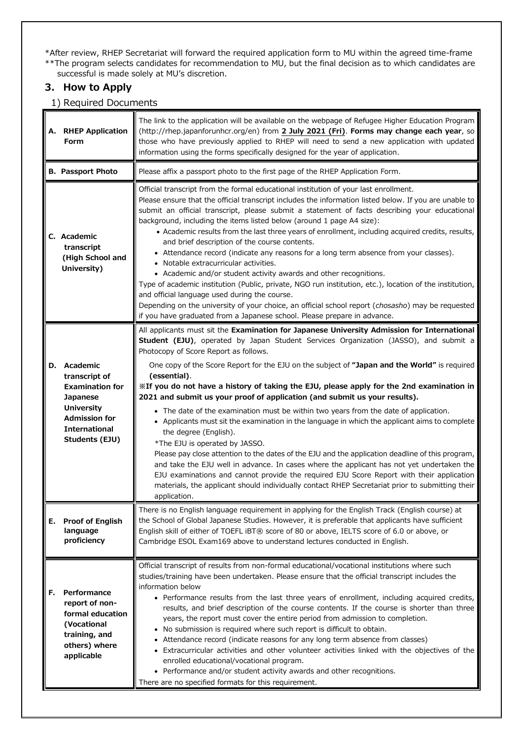\*After review, RHEP Secretariat will forward the required application form to MU within the agreed time-frame \*\*The program selects candidates for recommendation to MU, but the final decision as to which candidates are successful is made solely at MU's discretion.

### **3. How to Apply**

1) Required Documents

| А. | <b>RHEP Application</b><br><b>Form</b>                                                                                                                        | The link to the application will be available on the webpage of Refugee Higher Education Program<br>(http://rhep.japanforunhcr.org/en) from 2 July 2021 (Fri). Forms may change each year, so<br>those who have previously applied to RHEP will need to send a new application with updated<br>information using the forms specifically designed for the year of application.                                                                                                                                                                                                                                                                                                                                                                                                                                                                                                                                                                                                                                                                                                                                                                                                              |  |
|----|---------------------------------------------------------------------------------------------------------------------------------------------------------------|--------------------------------------------------------------------------------------------------------------------------------------------------------------------------------------------------------------------------------------------------------------------------------------------------------------------------------------------------------------------------------------------------------------------------------------------------------------------------------------------------------------------------------------------------------------------------------------------------------------------------------------------------------------------------------------------------------------------------------------------------------------------------------------------------------------------------------------------------------------------------------------------------------------------------------------------------------------------------------------------------------------------------------------------------------------------------------------------------------------------------------------------------------------------------------------------|--|
|    | <b>B. Passport Photo</b>                                                                                                                                      | Please affix a passport photo to the first page of the RHEP Application Form.                                                                                                                                                                                                                                                                                                                                                                                                                                                                                                                                                                                                                                                                                                                                                                                                                                                                                                                                                                                                                                                                                                              |  |
|    | C. Academic<br>transcript<br>(High School and<br>University)                                                                                                  | Official transcript from the formal educational institution of your last enrollment.<br>Please ensure that the official transcript includes the information listed below. If you are unable to<br>submit an official transcript, please submit a statement of facts describing your educational<br>background, including the items listed below (around 1 page A4 size):<br>• Academic results from the last three years of enrollment, including acquired credits, results,<br>and brief description of the course contents.<br>• Attendance record (indicate any reasons for a long term absence from your classes).<br>• Notable extracurricular activities.<br>• Academic and/or student activity awards and other recognitions.<br>Type of academic institution (Public, private, NGO run institution, etc.), location of the institution,<br>and official language used during the course.<br>Depending on the university of your choice, an official school report (chosasho) may be requested<br>if you have graduated from a Japanese school. Please prepare in advance.                                                                                                          |  |
| D. | Academic<br>transcript of<br><b>Examination for</b><br><b>Japanese</b><br><b>University</b><br><b>Admission for</b><br><b>International</b><br>Students (EJU) | All applicants must sit the Examination for Japanese University Admission for International<br>Student (EJU), operated by Japan Student Services Organization (JASSO), and submit a<br>Photocopy of Score Report as follows.<br>One copy of the Score Report for the EJU on the subject of "Japan and the World" is required<br>(essential).<br>XIf you do not have a history of taking the EJU, please apply for the 2nd examination in<br>2021 and submit us your proof of application (and submit us your results).<br>• The date of the examination must be within two years from the date of application.<br>• Applicants must sit the examination in the language in which the applicant aims to complete<br>the degree (English).<br>*The EJU is operated by JASSO.<br>Please pay close attention to the dates of the EJU and the application deadline of this program,<br>and take the EJU well in advance. In cases where the applicant has not yet undertaken the<br>EJU examinations and cannot provide the required EJU Score Report with their application<br>materials, the applicant should individually contact RHEP Secretariat prior to submitting their<br>application. |  |
| Е. | <b>Proof of English</b><br>language<br>proficiency                                                                                                            | There is no English language requirement in applying for the English Track (English course) at<br>the School of Global Japanese Studies. However, it is preferable that applicants have sufficient<br>English skill of either of TOEFL iBT® score of 80 or above, IELTS score of 6.0 or above, or<br>Cambridge ESOL Exam169 above to understand lectures conducted in English.                                                                                                                                                                                                                                                                                                                                                                                                                                                                                                                                                                                                                                                                                                                                                                                                             |  |
| F. | Performance<br>report of non-<br>formal education<br>(Vocational<br>training, and<br>others) where<br>applicable                                              | Official transcript of results from non-formal educational/vocational institutions where such<br>studies/training have been undertaken. Please ensure that the official transcript includes the<br>information below<br>• Performance results from the last three years of enrollment, including acquired credits,<br>results, and brief description of the course contents. If the course is shorter than three<br>years, the report must cover the entire period from admission to completion.<br>• No submission is required where such report is difficult to obtain.<br>• Attendance record (indicate reasons for any long term absence from classes)<br>Extracurricular activities and other volunteer activities linked with the objectives of the<br>$\bullet$<br>enrolled educational/vocational program.<br>• Performance and/or student activity awards and other recognitions.<br>There are no specified formats for this requirement.                                                                                                                                                                                                                                         |  |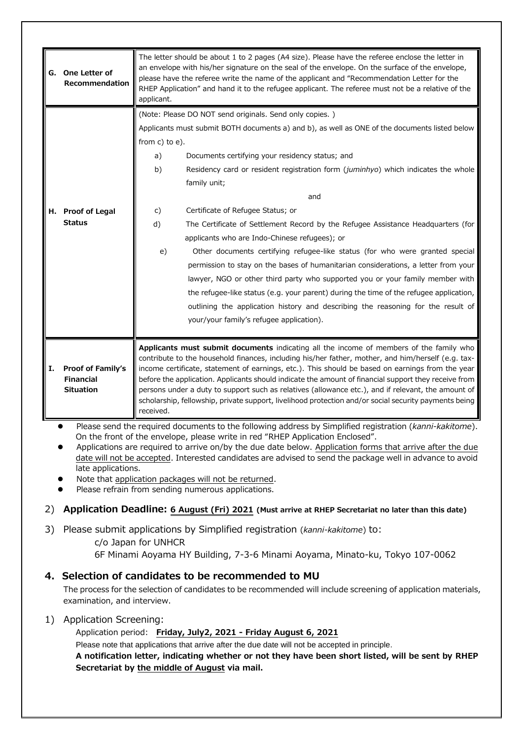|    | G. One Letter of<br>Recommendation                        | The letter should be about 1 to 2 pages (A4 size). Please have the referee enclose the letter in<br>an envelope with his/her signature on the seal of the envelope. On the surface of the envelope,<br>please have the referee write the name of the applicant and "Recommendation Letter for the<br>RHEP Application" and hand it to the refugee applicant. The referee must not be a relative of the<br>applicant.                                                                                                                                                                                                                  |                                                                                        |  |
|----|-----------------------------------------------------------|---------------------------------------------------------------------------------------------------------------------------------------------------------------------------------------------------------------------------------------------------------------------------------------------------------------------------------------------------------------------------------------------------------------------------------------------------------------------------------------------------------------------------------------------------------------------------------------------------------------------------------------|----------------------------------------------------------------------------------------|--|
|    |                                                           | (Note: Please DO NOT send originals. Send only copies.)                                                                                                                                                                                                                                                                                                                                                                                                                                                                                                                                                                               |                                                                                        |  |
|    |                                                           | Applicants must submit BOTH documents a) and b), as well as ONE of the documents listed below                                                                                                                                                                                                                                                                                                                                                                                                                                                                                                                                         |                                                                                        |  |
|    |                                                           | from $c)$ to $e)$ .                                                                                                                                                                                                                                                                                                                                                                                                                                                                                                                                                                                                                   |                                                                                        |  |
|    |                                                           | a)                                                                                                                                                                                                                                                                                                                                                                                                                                                                                                                                                                                                                                    | Documents certifying your residency status; and                                        |  |
|    |                                                           | b)                                                                                                                                                                                                                                                                                                                                                                                                                                                                                                                                                                                                                                    | Residency card or resident registration form (juminhyo) which indicates the whole      |  |
|    |                                                           |                                                                                                                                                                                                                                                                                                                                                                                                                                                                                                                                                                                                                                       | family unit;                                                                           |  |
|    |                                                           |                                                                                                                                                                                                                                                                                                                                                                                                                                                                                                                                                                                                                                       | and                                                                                    |  |
|    | H. Proof of Legal                                         | $\mathsf{C}$ )                                                                                                                                                                                                                                                                                                                                                                                                                                                                                                                                                                                                                        | Certificate of Refugee Status; or                                                      |  |
|    | <b>Status</b>                                             | d)                                                                                                                                                                                                                                                                                                                                                                                                                                                                                                                                                                                                                                    | The Certificate of Settlement Record by the Refugee Assistance Headquarters (for       |  |
|    |                                                           |                                                                                                                                                                                                                                                                                                                                                                                                                                                                                                                                                                                                                                       | applicants who are Indo-Chinese refugees); or                                          |  |
|    |                                                           | e)                                                                                                                                                                                                                                                                                                                                                                                                                                                                                                                                                                                                                                    | Other documents certifying refugee-like status (for who were granted special           |  |
|    |                                                           |                                                                                                                                                                                                                                                                                                                                                                                                                                                                                                                                                                                                                                       | permission to stay on the bases of humanitarian considerations, a letter from your     |  |
|    |                                                           |                                                                                                                                                                                                                                                                                                                                                                                                                                                                                                                                                                                                                                       | lawyer, NGO or other third party who supported you or your family member with          |  |
|    |                                                           |                                                                                                                                                                                                                                                                                                                                                                                                                                                                                                                                                                                                                                       | the refugee-like status (e.g. your parent) during the time of the refugee application, |  |
|    |                                                           |                                                                                                                                                                                                                                                                                                                                                                                                                                                                                                                                                                                                                                       | outlining the application history and describing the reasoning for the result of       |  |
|    |                                                           |                                                                                                                                                                                                                                                                                                                                                                                                                                                                                                                                                                                                                                       | your/your family's refugee application).                                               |  |
|    |                                                           |                                                                                                                                                                                                                                                                                                                                                                                                                                                                                                                                                                                                                                       |                                                                                        |  |
| Ι. | Proof of Family's<br><b>Financial</b><br><b>Situation</b> | Applicants must submit documents indicating all the income of members of the family who<br>contribute to the household finances, including his/her father, mother, and him/herself (e.g. tax-<br>income certificate, statement of earnings, etc.). This should be based on earnings from the year<br>before the application. Applicants should indicate the amount of financial support they receive from<br>persons under a duty to support such as relatives (allowance etc.), and if relevant, the amount of<br>scholarship, fellowship, private support, livelihood protection and/or social security payments being<br>received. |                                                                                        |  |

 Please send the required documents to the following address by Simplified registration (*kanni-kakitome*). On the front of the envelope, please write in red "RHEP Application Enclosed".

 Applications are required to arrive on/by the due date below. Application forms that arrive after the due date will not be accepted. Interested candidates are advised to send the package well in advance to avoid late applications.

Note that application packages will not be returned.

Please refrain from sending numerous applications.

# 2) **Application Deadline: 6 August (Fri) 2021 (Must arrive at RHEP Secretariat no later than this date)**

3) Please submit applications by Simplified registration (*kanni-kakitome*) to:

c/o Japan for UNHCR

6F Minami Aoyama HY Building, 7-3-6 Minami Aoyama, Minato-ku, Tokyo 107-0062

# **4. Selection of candidates to be recommended to MU**

The process for the selection of candidates to be recommended will include screening of application materials, examination, and interview.

1) Application Screening:

Application period: **Friday, July2, 2021 - Friday August 6, 2021**

Please note that applications that arrive after the due date will not be accepted in principle. **A notification letter, indicating whether or not they have been short listed, will be sent by RHEP Secretariat by the middle of August via mail.**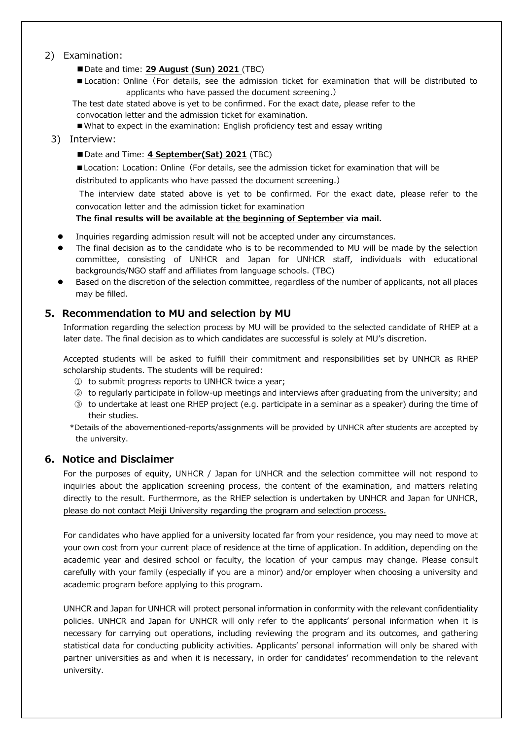#### 2) Examination:

■Date and time: 29 August (Sun) 2021 (TBC)

- Location: Online (For details, see the admission ticket for examination that will be distributed to applicants who have passed the document screening.)
- The test date stated above is yet to be confirmed. For the exact date, please refer to the convocation letter and the admission ticket for examination.

■What to expect in the examination: English proficiency test and essay writing

#### 3) Interview:

■ Date and Time: 4 **September(Sat) 2021** (TBC)

■Location: Location: Online (For details, see the admission ticket for examination that will be

distributed to applicants who have passed the document screening.)

The interview date stated above is yet to be confirmed. For the exact date, please refer to the convocation letter and the admission ticket for examination

**The final results will be available at the beginning of September via mail.**

- Inquiries regarding admission result will not be accepted under any circumstances.
- The final decision as to the candidate who is to be recommended to MU will be made by the selection committee, consisting of UNHCR and Japan for UNHCR staff, individuals with educational backgrounds/NGO staff and affiliates from language schools. (TBC)
- Based on the discretion of the selection committee, regardless of the number of applicants, not all places may be filled.

#### **5. Recommendation to MU and selection by MU**

Information regarding the selection process by MU will be provided to the selected candidate of RHEP at a later date. The final decision as to which candidates are successful is solely at MU's discretion.

Accepted students will be asked to fulfill their commitment and responsibilities set by UNHCR as RHEP scholarship students. The students will be required:

- ① to submit progress reports to UNHCR twice a year;
- ② to regularly participate in follow-up meetings and interviews after graduating from the university; and
- ③ to undertake at least one RHEP project (e.g. participate in a seminar as a speaker) during the time of their studies.
- \*Details of the abovementioned-reports/assignments will be provided by UNHCR after students are accepted by the university.

#### **6. Notice and Disclaimer**

For the purposes of equity, UNHCR / Japan for UNHCR and the selection committee will not respond to inquiries about the application screening process, the content of the examination, and matters relating directly to the result. Furthermore, as the RHEP selection is undertaken by UNHCR and Japan for UNHCR, please do not contact Meiji University regarding the program and selection process.

For candidates who have applied for a university located far from your residence, you may need to move at your own cost from your current place of residence at the time of application. In addition, depending on the academic year and desired school or faculty, the location of your campus may change. Please consult carefully with your family (especially if you are a minor) and/or employer when choosing a university and academic program before applying to this program.

UNHCR and Japan for UNHCR will protect personal information in conformity with the relevant confidentiality policies. UNHCR and Japan for UNHCR will only refer to the applicants' personal information when it is necessary for carrying out operations, including reviewing the program and its outcomes, and gathering statistical data for conducting publicity activities. Applicants' personal information will only be shared with partner universities as and when it is necessary, in order for candidates' recommendation to the relevant university.